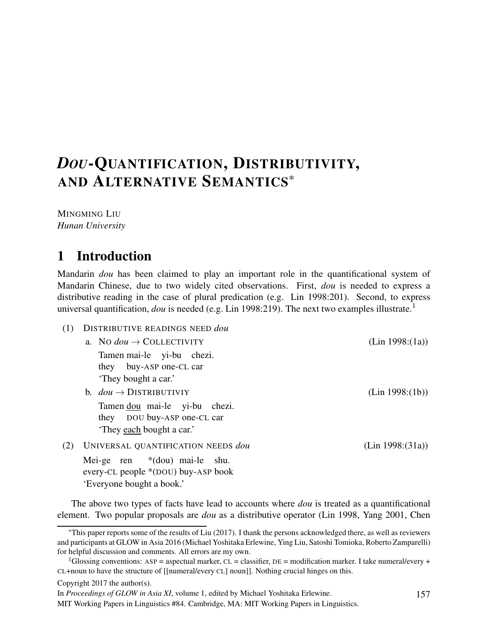# *DOU*-QUANTIFICATION, DISTRIBUTIVITY, AND ALTERNATIVE SEMANTICS\*

MINGMING LIU *Hunan University*

# 1 Introduction

Mandarin *dou* has been claimed to play an important role in the quantificational system of Mandarin Chinese, due to two widely cited observations. First, *dou* is needed to express a distributive reading in the case of plural predication (e.g. Lin 1998:201). Second, to express universal quantification, *dou* is needed (e.g. Lin 1998:219). The next two examples illustrate.<sup>1</sup>

- (1) DISTRIBUTIVE READINGS NEED *dou*
	- a. No  $dou \rightarrow$  COLLECTIVITY (Lin 1998:(1a)) Tamen mai-le yi-bu chezi. they buy-ASP one-CL car 'They bought a car.' b.  $dou \rightarrow \text{DISTRIBUTIVIY}$  (Lin 1998:(1b)) Tamen dou mai-le yi-bu chezi. they DOU buy-ASP one-CL car 'They each bought a car.'
- (2) UNIVERSAL QUANTIFICATION NEEDS *dou* (Lin 1998:(31a)) Mei-ge ren every-CL people \*(DOU) buy-ASP book \*(dou) mai-le shu. 'Everyone bought a book.'

The above two types of facts have lead to accounts where *dou* is treated as a quantificational element. Two popular proposals are *dou* as a distributive operator (Lin 1998, Yang 2001, Chen

```
Copyright 2017 the author(s).
```
<sup>\*</sup>This paper reports some of the results of Liu (2017). I thank the persons acknowledged there, as well as reviewers and participants at GLOW in Asia 2016 (Michael Yoshitaka Erlewine, Ying Liu, Satoshi Tomioka, Roberto Zamparelli) for helpful discussion and comments. All errors are my own.

<sup>&</sup>lt;sup>1</sup>Glossing conventions: ASP = aspectual marker, CL = classifier, DE = modification marker. I take numeral/every + CL+noun to have the structure of [[numeral/every CL] noun]]. Nothing crucial hinges on this.

In *Proceedings of GLOW in Asia XI*, volume 1, edited by Michael Yoshitaka Erlewine.

MIT Working Papers in Linguistics #84. Cambridge, MA: MIT Working Papers in Linguistics.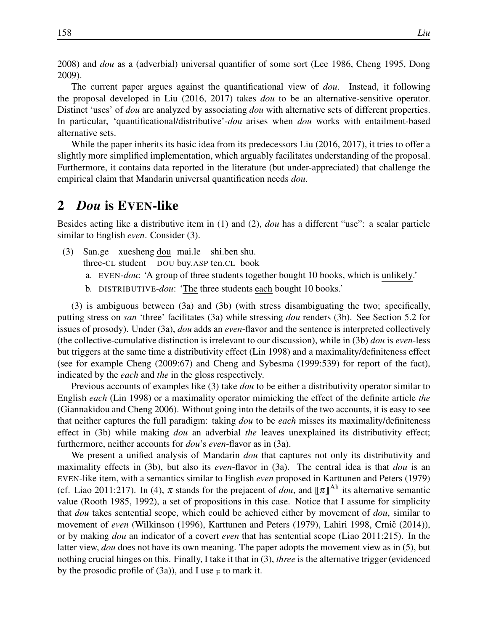2008) and *dou* as a (adverbial) universal quantifier of some sort (Lee 1986, Cheng 1995, Dong 2009).

The current paper argues against the quantificational view of *dou*. Instead, it following the proposal developed in Liu (2016, 2017) takes *dou* to be an alternative-sensitive operator. Distinct 'uses' of *dou* are analyzed by associating *dou* with alternative sets of different properties. In particular, 'quantificational/distributive'-*dou* arises when *dou* works with entailment-based alternative sets.

While the paper inherits its basic idea from its predecessors Liu (2016, 2017), it tries to offer a slightly more simplified implementation, which arguably facilitates understanding of the proposal. Furthermore, it contains data reported in the literature (but under-appreciated) that challenge the empirical claim that Mandarin universal quantification needs *dou*.

### 2 *Dou* is EVEN-like

Besides acting like a distributive item in (1) and (2), *dou* has a different "use": a scalar particle similar to English *even*. Consider (3).

- (3) San.ge xuesheng dou mai.le shi.ben shu. three-CL student DOU buy.ASP ten.CL book
	- a. EVEN-*dou*: 'A group of three students together bought 10 books, which is unlikely.'
	- b. DISTRIBUTIVE-*dou*: 'The three students each bought 10 books.'

(3) is ambiguous between (3a) and (3b) (with stress disambiguating the two; specifically, putting stress on *san* 'three' facilitates (3a) while stressing *dou* renders (3b). See Section 5.2 for issues of prosody). Under (3a), *dou* adds an *even*-flavor and the sentence is interpreted collectively (the collective-cumulative distinction is irrelevant to our discussion), while in (3b) *dou* is *even*-less but triggers at the same time a distributivity effect (Lin 1998) and a maximality/definiteness effect (see for example Cheng (2009:67) and Cheng and Sybesma (1999:539) for report of the fact), indicated by the *each* and *the* in the gloss respectively.

Previous accounts of examples like (3) take *dou* to be either a distributivity operator similar to English *each* (Lin 1998) or a maximality operator mimicking the effect of the definite article *the* (Giannakidou and Cheng 2006). Without going into the details of the two accounts, it is easy to see that neither captures the full paradigm: taking *dou* to be *each* misses its maximality/definiteness effect in (3b) while making *dou* an adverbial *the* leaves unexplained its distributivity effect; furthermore, neither accounts for *dou*'s *even*-flavor as in (3a).

We present a unified analysis of Mandarin *dou* that captures not only its distributivity and maximality effects in (3b), but also its *even*-flavor in (3a). The central idea is that *dou* is an EVEN-like item, with a semantics similar to English *even* proposed in Karttunen and Peters (1979) (cf. Liao 2011:217). In (4),  $\pi$  stands for the prejacent of *dou*, and  $[\![\pi]\!]^{\text{Alt}}$  its alternative semantic value (Rooth 1985, 1992), a set of propositions in this case. Notice that I assume for simplicity that *dou* takes sentential scope, which could be achieved either by movement of *dou*, similar to movement of *even* (Wilkinson (1996), Karttunen and Peters (1979), Lahiri 1998, Crnič (2014)), or by making *dou* an indicator of a covert *even* that has sentential scope (Liao 2011:215). In the latter view, *dou* does not have its own meaning. The paper adopts the movement view as in (5), but nothing crucial hinges on this. Finally, I take it that in (3), *three* is the alternative trigger (evidenced by the prosodic profile of (3a)), and I use  $_F$  to mark it.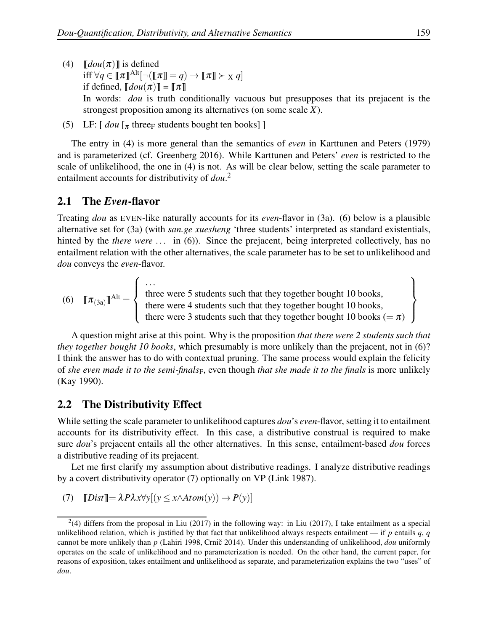- (4)  $\llbracket \text{dou}(\pi) \rrbracket$  is defined  $\inf \forall q \in [\![\pi]\!]^{\text{Alt}}[\neg(\llbracket \pi \rrbracket = q) \rightarrow [\![\pi]\!] \succ_X q]$ if defined,  $\llbracket dou(\pi) \rrbracket = \llbracket \pi \rrbracket$ In words: *dou* is truth conditionally vacuous but presupposes that its prejacent is the strongest proposition among its alternatives (on some scale *X*).
- (5) LF:  $\left[$  *dou*  $\left[$ <sub> $\pi$ </sub> three<sub>F</sub> students bought ten books] ]

The entry in (4) is more general than the semantics of *even* in Karttunen and Peters (1979) and is parameterized (cf. Greenberg 2016). While Karttunen and Peters' *even* is restricted to the scale of unlikelihood, the one in (4) is not. As will be clear below, setting the scale parameter to entailment accounts for distributivity of *dou*. 2

#### 2.1 The *Even*-flavor

Treating *dou* as EVEN-like naturally accounts for its *even*-flavor in (3a). (6) below is a plausible alternative set for (3a) (with *san.ge xuesheng* 'three students' interpreted as standard existentials, hinted by the *there were* ... in (6)). Since the prejacent, being interpreted collectively, has no entailment relation with the other alternatives, the scale parameter has to be set to unlikelihood and *dou* conveys the *even*-flavor.

(6)  $[\![\pi_{(3a)}]\!]^{Alt} =$  $\sqrt{ }$  $\int$  $\overline{\mathcal{L}}$ . . . three were 5 students such that they together bought 10 books, there were 4 students such that they together bought 10 books, there were 3 students such that they together bought 10 books ( $=\pi$ )  $\mathcal{L}$  $\overline{\mathcal{L}}$  $\int$ 

A question might arise at this point. Why is the proposition *that there were 2 students such that they together bought 10 books*, which presumably is more unlikely than the prejacent, not in (6)? I think the answer has to do with contextual pruning. The same process would explain the felicity of *she even made it to the semi-finals*F, even though *that she made it to the finals* is more unlikely (Kay 1990).

### 2.2 The Distributivity Effect

While setting the scale parameter to unlikelihood captures *dou*'s *even*-flavor, setting it to entailment accounts for its distributivity effect. In this case, a distributive construal is required to make sure *dou*'s prejacent entails all the other alternatives. In this sense, entailment-based *dou* forces a distributive reading of its prejacent.

Let me first clarify my assumption about distributive readings. I analyze distributive readings by a covert distributivity operator (7) optionally on VP (Link 1987).

(7) 
$$
[[Dist]] = \lambda P \lambda x \forall y [(y \le x \land Atom(y)) \rightarrow P(y)]
$$

 $^{2}(4)$  differs from the proposal in Liu (2017) in the following way: in Liu (2017), I take entailment as a special unlikelihood relation, which is justified by that fact that unlikelihood always respects entailment — if  $p$  entails  $q$ ,  $q$ cannot be more unlikely than *p* (Lahiri 1998, Crnič 2014). Under this understanding of unlikelihood, dou uniformly operates on the scale of unlikelihood and no parameterization is needed. On the other hand, the current paper, for reasons of exposition, takes entailment and unlikelihood as separate, and parameterization explains the two "uses" of *dou*.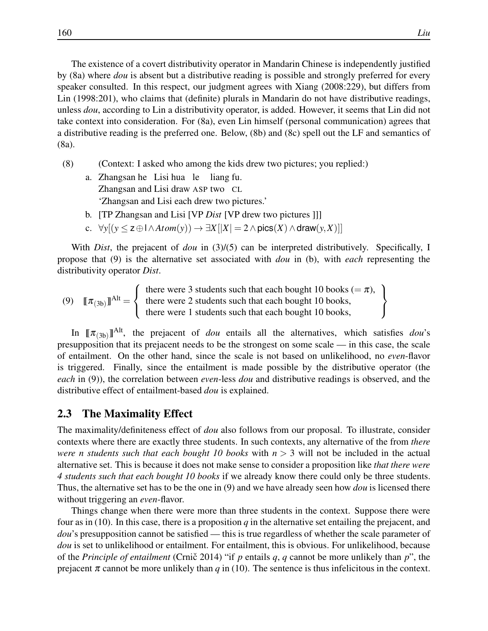The existence of a covert distributivity operator in Mandarin Chinese is independently justified by (8a) where *dou* is absent but a distributive reading is possible and strongly preferred for every speaker consulted. In this respect, our judgment agrees with Xiang (2008:229), but differs from Lin (1998:201), who claims that (definite) plurals in Mandarin do not have distributive readings, unless *dou*, according to Lin a distributivity operator, is added. However, it seems that Lin did not take context into consideration. For (8a), even Lin himself (personal communication) agrees that a distributive reading is the preferred one. Below, (8b) and (8c) spell out the LF and semantics of (8a).

- (8) (Context: I asked who among the kids drew two pictures; you replied:)
	- a. Zhangsan he Lisi hua le liang fu. Zhangsan and Lisi draw ASP two CL 'Zhangsan and Lisi each drew two pictures.'
	- b. [TP Zhangsan and Lisi [VP *Dist* [VP drew two pictures ]]]
	- c.  $∀y[(y ≤ z ⊕ l ∧ Atom(y)) → ∃X[|X| = 2 ∧ \text{pics}(X) ∧ \text{draw}(y, X)]]$

With *Dist*, the prejacent of *dou* in (3)/(5) can be interpreted distributively. Specifically, I propose that (9) is the alternative set associated with *dou* in (b), with *each* representing the distributivity operator *Dist*.

(9)  $[\![\pi_{(3b)}]\!]^{\text{Alt}} =$  $\sqrt{ }$  $\int$  $\mathcal{L}$ there were 3 students such that each bought 10 books ( $=\pi$ ), there were 2 students such that each bought 10 books, there were 1 students such that each bought 10 books,  $\mathcal{L}$  $\mathcal{L}$  $\int$ 

In  $[\![\pi_{(3b)}]\!]^{Alt}$ , the prejacent of *dou* entails all the alternatives, which satisfies *dou*'s presupposition that its prejacent needs to be the strongest on some scale — in this case, the scale of entailment. On the other hand, since the scale is not based on unlikelihood, no *even*-flavor is triggered. Finally, since the entailment is made possible by the distributive operator (the *each* in (9)), the correlation between *even*-less *dou* and distributive readings is observed, and the distributive effect of entailment-based *dou* is explained.

### 2.3 The Maximality Effect

The maximality/definiteness effect of *dou* also follows from our proposal. To illustrate, consider contexts where there are exactly three students. In such contexts, any alternative of the from *there were n students such that each bought 10 books* with  $n > 3$  will not be included in the actual alternative set. This is because it does not make sense to consider a proposition like *that there were 4 students such that each bought 10 books* if we already know there could only be three students. Thus, the alternative set has to be the one in (9) and we have already seen how *dou* is licensed there without triggering an *even*-flavor.

Things change when there were more than three students in the context. Suppose there were four as in (10). In this case, there is a proposition  $q$  in the alternative set entailing the prejacent, and *dou*'s presupposition cannot be satisfied — this is true regardless of whether the scale parameter of *dou* is set to unlikelihood or entailment. For entailment, this is obvious. For unlikelihood, because of the *Principle of entailment* (Crnic 2014) "if p entails q, q cannot be more unlikely than  $p$ ", the prejacent  $\pi$  cannot be more unlikely than *q* in (10). The sentence is thus infelicitous in the context.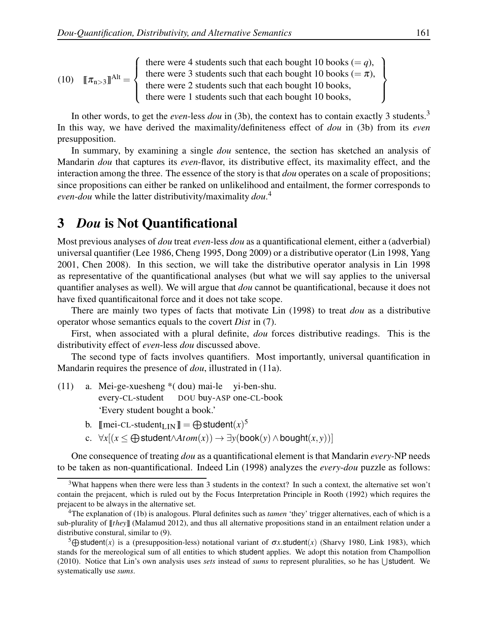(10) 
$$
\llbracket \pi_{n>3} \rrbracket^{Alt} = \left\{ \begin{array}{l} \text{there were 4 students such that each bought 10 books } (=q), \\ \text{there were 3 students such that each bought 10 books } (= \pi), \\ \text{there were 2 students such that each bought 10 books,} \\ \text{there were 1 students such that each bought 10 books,} \end{array} \right\}
$$

In other words, to get the *even*-less *dou* in (3b), the context has to contain exactly 3 students.<sup>3</sup> In this way, we have derived the maximality/definiteness effect of *dou* in (3b) from its *even* presupposition.

In summary, by examining a single *dou* sentence, the section has sketched an analysis of Mandarin *dou* that captures its *even*-flavor, its distributive effect, its maximality effect, and the interaction among the three. The essence of the story is that *dou* operates on a scale of propositions; since propositions can either be ranked on unlikelihood and entailment, the former corresponds to *even*-*dou* while the latter distributivity/maximality *dou*. 4

# 3 *Dou* is Not Quantificational

Most previous analyses of *dou* treat *even*-less *dou* as a quantificational element, either a (adverbial) universal quantifier (Lee 1986, Cheng 1995, Dong 2009) or a distributive operator (Lin 1998, Yang 2001, Chen 2008). In this section, we will take the distributive operator analysis in Lin 1998 as representative of the quantificational analyses (but what we will say applies to the universal quantifier analyses as well). We will argue that *dou* cannot be quantificational, because it does not have fixed quantificaitonal force and it does not take scope.

There are mainly two types of facts that motivate Lin (1998) to treat *dou* as a distributive operator whose semantics equals to the covert *Dist* in (7).

First, when associated with a plural definite, *dou* forces distributive readings. This is the distributivity effect of *even*-less *dou* discussed above.

The second type of facts involves quantifiers. Most importantly, universal quantification in Mandarin requires the presence of *dou*, illustrated in (11a).

- (11) a. Mei-ge-xuesheng \*( dou) mai-le yi-ben-shu. every-CL-student DOU buy-ASP one-CL-book 'Every student bought a book.'
	- b.  $\llbracket$ mei-CL-student<sub>LIN</sub> $\rrbracket = \bigoplus$  student $(x)^5$
	- c.  $∀x[(x \leq \bigoplus \text{student} \land \text{Atom}(x)) \rightarrow \exists y(\text{book}(y) \land \text{bound}(x, y))]$

One consequence of treating *dou* as a quantificational element is that Mandarin *every-*NP needs to be taken as non-quantificational. Indeed Lin (1998) analyzes the *every*-*dou* puzzle as follows:

<sup>3</sup>What happens when there were less than 3 students in the context? In such a context, the alternative set won't contain the prejacent, which is ruled out by the Focus Interpretation Principle in Rooth (1992) which requires the prejacent to be always in the alternative set.

<sup>4</sup>The explanation of (1b) is analogous. Plural definites such as *tamen* 'they' trigger alternatives, each of which is a sub-plurality of  $\llbracket$  *they*  $\llbracket$  (Malamud 2012), and thus all alternative propositions stand in an entailment relation under a distributive constural, similar to (9).

<sup>&</sup>lt;sup>5</sup> $\bigoplus$  Student(*x*) is a (presupposition-less) notational variant of σ*x*.student(*x*) (Sharvy 1980, Link 1983), which stands for the mereological sum of all entities to which student applies. We adopt this notation from Champollion  $(2010)$ . Notice that Lin's own analysis uses *sets* instead of *sums* to represent pluralities, so he has  $\bigcup$  student. We systematically use *sums*.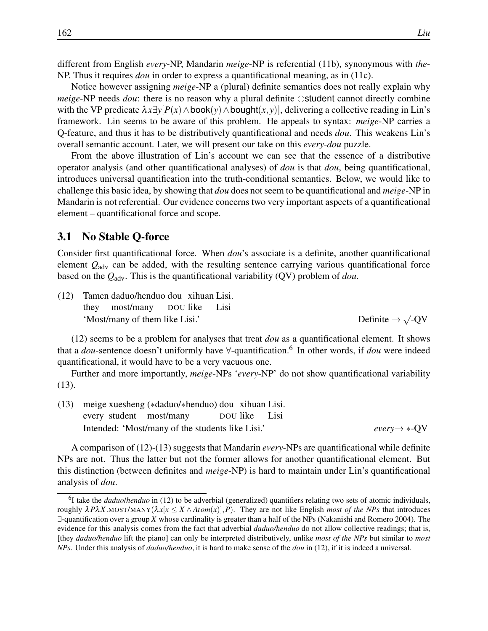different from English *every*-NP, Mandarin *meige*-NP is referential (11b), synonymous with *the*-NP. Thus it requires *dou* in order to express a quantificational meaning, as in (11c).

Notice however assigning *meige*-NP a (plural) definite semantics does not really explain why *meige*-NP needs *dou*: there is no reason why a plural definite ⊕student cannot directly combine with the VP predicate  $\lambda x \exists y [P(x) \land \text{book}(y) \land \text{bought}(x, y)]$ , delivering a collective reading in Lin's framework. Lin seems to be aware of this problem. He appeals to syntax: *meige*-NP carries a Q-feature, and thus it has to be distributively quantificational and needs *dou*. This weakens Lin's overall semantic account. Later, we will present our take on this *every*-*dou* puzzle.

From the above illustration of Lin's account we can see that the essence of a distributive operator analysis (and other quantificational analyses) of *dou* is that *dou*, being quantificational, introduces universal quantification into the truth-conditional semantics. Below, we would like to challenge this basic idea, by showing that *dou* does not seem to be quantificational and *meige*-NP in Mandarin is not referential. Our evidence concerns two very important aspects of a quantificational element – quantificational force and scope.

#### 3.1 No Stable Q-force

Consider first quantificational force. When *dou*'s associate is a definite, another quantificational element *Q*adv can be added, with the resulting sentence carrying various quantificational force based on the *Q*adv. This is the quantificational variability (QV) problem of *dou*.

(12) Tamen daduo/henduo dou xihuan Lisi. they most/many DOU like Lisi 'Most/many of them like Lisi.'

 $\sqrt{QV}$ 

(12) seems to be a problem for analyses that treat *dou* as a quantificational element. It shows that a *dou*-sentence doesn't uniformly have <sup>∀</sup>-quantification.<sup>6</sup> In other words, if *dou* were indeed quantificational, it would have to be a very vacuous one.

Further and more importantly, *meige*-NPs '*every*-NP' do not show quantificational variability (13).

(13) meige xuesheng (∗daduo/∗henduo) dou xihuan Lisi. every student most/many DOU like Lisi Intended: 'Most/many of the students like Lisi.' *every*→ ∗-QV

A comparison of (12)-(13) suggests that Mandarin *every*-NPs are quantificational while definite NPs are not. Thus the latter but not the former allows for another quantificational element. But this distinction (between definites and *meige*-NP) is hard to maintain under Lin's quantificational analysis of *dou*.

<sup>6</sup> I take the *daduo*/*henduo* in (12) to be adverbial (generalized) quantifiers relating two sets of atomic individuals, roughly <sup>λ</sup>*P*λ*X*.MOST/MANY(λ*x*[*x* ≤ *X* ∧ *Atom*(*x*)],*P*). They are not like English *most of the NPs* that introduces ∃-quantification over a group *X* whose cardinality is greater than a half of the NPs (Nakanishi and Romero 2004). The evidence for this analysis comes from the fact that adverbial *daduo/henduo* do not allow collective readings; that is, [they *daduo/henduo* lift the piano] can only be interpreted distributively, unlike *most of the NPs* but similar to *most NPs*. Under this analysis of *daduo/henduo*, it is hard to make sense of the *dou* in (12), if it is indeed a universal.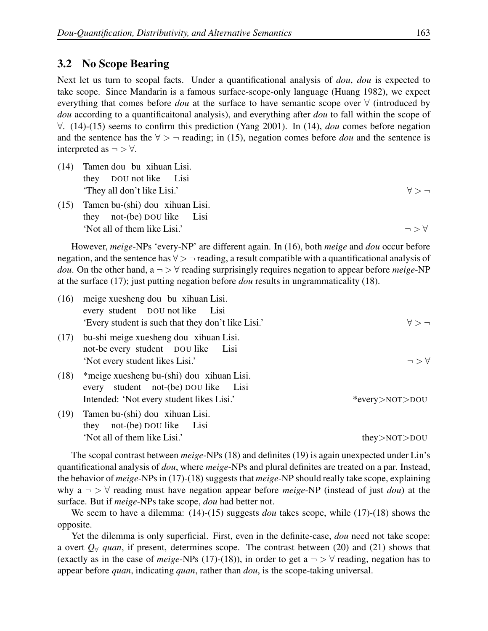### 3.2 No Scope Bearing

Next let us turn to scopal facts. Under a quantificational analysis of *dou*, *dou* is expected to take scope. Since Mandarin is a famous surface-scope-only language (Huang 1982), we expect everything that comes before *dou* at the surface to have semantic scope over ∀ (introduced by *dou* according to a quantificaitonal analysis), and everything after *dou* to fall within the scope of ∀. (14)-(15) seems to confirm this prediction (Yang 2001). In (14), *dou* comes before negation and the sentence has the  $\forall$  >  $\neg$  reading; in (15), negation comes before *dou* and the sentence is interpreted as  $\neg$   $\forall$ .

- (14) Tamen dou bu xihuan Lisi. they DOU not like Lisi 'They all don't like Lisi.'  $\forall$  >  $\rightarrow$
- (15) Tamen bu-(shi) dou xihuan Lisi. they not-(be) DOU like Lisi  $\forall$  'Not all of them like Lisi.'  $\Rightarrow$   $\forall$

However, *meige*-NPs 'every-NP' are different again. In (16), both *meige* and *dou* occur before negation, and the sentence has  $\forall$  > ¬ reading, a result compatible with a quantificational analysis of *dou*. On the other hand,  $a \rightarrow \forall$  reading surprisingly requires negation to appear before *meige*-NP at the surface (17); just putting negation before *dou* results in ungrammaticality (18).

| (16) | meige xuesheng dou bu xihuan Lisi.<br>every student DOU not like Lisi                                                             |                      |
|------|-----------------------------------------------------------------------------------------------------------------------------------|----------------------|
|      | 'Every student is such that they don't like Lisi.'                                                                                | $A > -$              |
| (17) | bu-shi meige xuesheng dou xihuan Lisi.<br>not-be every student DOU like Lisi<br>'Not every student likes Lisi.'                   | $\neg$ $>$ $\forall$ |
| (18) | *meige xuesheng bu-(shi) dou xihuan Lisi.<br>student not-(be) DOU like Lisi<br>every<br>Intended: 'Not every student likes Lisi.' | *every>NOT>DOU       |
| (19) | Tamen bu-(shi) dou xihuan Lisi.<br>they not-(be) DOU like Lisi                                                                    |                      |
|      | 'Not all of them like Lisi.'                                                                                                      | $they$ > NOT > DOU   |

The scopal contrast between *meige*-NPs (18) and definites (19) is again unexpected under Lin's quantificational analysis of *dou*, where *meige*-NPs and plural definites are treated on a par. Instead, the behavior of *meige*-NPs in (17)-(18) suggests that *meige*-NP should really take scope, explaining why a ¬ > ∀ reading must have negation appear before *meige*-NP (instead of just *dou*) at the surface. But if *meige*-NPs take scope, *dou* had better not.

We seem to have a dilemma: (14)-(15) suggests *dou* takes scope, while (17)-(18) shows the opposite.

Yet the dilemma is only superficial. First, even in the definite-case, *dou* need not take scope: a overt  $Q_{\forall}$  *quan*, if present, determines scope. The contrast between (20) and (21) shows that (exactly as in the case of *meige*-NPs (17)-(18)), in order to get a  $\neg$   $>$   $\forall$  reading, negation has to appear before *quan*, indicating *quan*, rather than *dou*, is the scope-taking universal.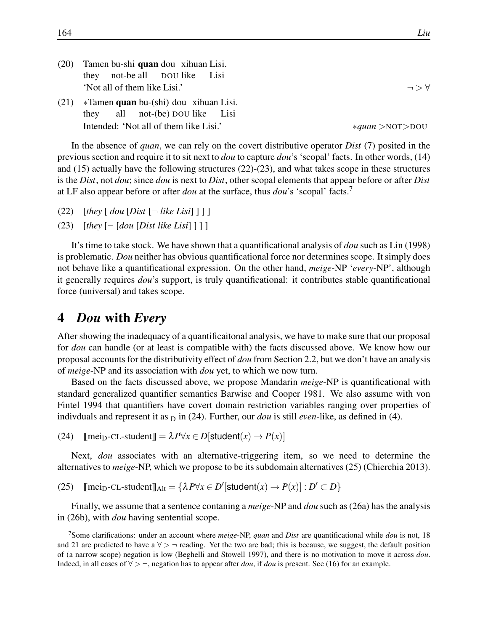| (20) | Tamen bu-shi quan dou xihuan Lisi.<br>not-be all DOU like Lisi<br>they      |                          |
|------|-----------------------------------------------------------------------------|--------------------------|
|      | 'Not all of them like Lisi.'                                                | $\neg$ $>$ $\forall$     |
| (21) | $*$ Tamen quan bu-(shi) dou xihuan Lisi.<br>they all not-(be) DOU like Lisi |                          |
|      | Intended: 'Not all of them like Lisi.'                                      | $*$ quan $>$ NOT $>$ DOU |

In the absence of *quan*, we can rely on the covert distributive operator *Dist* (7) posited in the previous section and require it to sit next to *dou* to capture *dou*'s 'scopal' facts. In other words, (14) and (15) actually have the following structures (22)-(23), and what takes scope in these structures is the *Dist*, not *dou*; since *dou* is next to *Dist*, other scopal elements that appear before or after *Dist* at LF also appear before or after *dou* at the surface, thus *dou*'s 'scopal' facts.<sup>7</sup>

- (22)  $[$ *they*  $[$  *dou*  $[Dist \rightarrow like List] ]$
- $(23)$  [*they*  $\lceil \neg$  [*dou* [*Dist like Lisi*]]]

It's time to take stock. We have shown that a quantificational analysis of *dou* such as Lin (1998) is problematic. *Dou* neither has obvious quantificational force nor determines scope. It simply does not behave like a quantificational expression. On the other hand, *meige*-NP '*every*-NP', although it generally requires *dou*'s support, is truly quantificational: it contributes stable quantificational force (universal) and takes scope.

### 4 *Dou* with *Every*

After showing the inadequacy of a quantificaitonal analysis, we have to make sure that our proposal for *dou* can handle (or at least is compatible with) the facts discussed above. We know how our proposal accounts for the distributivity effect of *dou* from Section 2.2, but we don't have an analysis of *meige*-NP and its association with *dou* yet, to which we now turn.

Based on the facts discussed above, we propose Mandarin *meige*-NP is quantificational with standard generalized quantifier semantics Barwise and Cooper 1981. We also assume with von Fintel 1994 that quantifiers have covert domain restriction variables ranging over properties of indivduals and represent it as  $_D$  in (24). Further, our *dou* is still *even*-like, as defined in (4).

(24)  $\text{[mei}_{D}$ -CL-student  $\text{]} = \lambda P \forall x \in D \text{[student}(x) \rightarrow P(x) \text{]}$ 

Next, *dou* associates with an alternative-triggering item, so we need to determine the alternatives to *meige*-NP, which we propose to be its subdomain alternatives (25) (Chierchia 2013).

 $(25)$  [[mei<sub>D</sub>-CL-student]]<sub>Alt</sub> = { $\lambda P \forall x \in D'$  [student $(x) \rightarrow P(x)$ ] :  $D' \subset D$ }

Finally, we assume that a sentence contaning a *meige*-NP and *dou* such as (26a) has the analysis in (26b), with *dou* having sentential scope.

<sup>7</sup>Some clarifications: under an account where *meige*-NP, *quan* and *Dist* are quantificational while *dou* is not, 18 and 21 are predicted to have a  $\forall$  >  $\neg$  reading. Yet the two are bad; this is because, we suggest, the default position of (a narrow scope) negation is low (Beghelli and Stowell 1997), and there is no motivation to move it across *dou*. Indeed, in all cases of ∀ > ¬, negation has to appear after *dou*, if *dou* is present. See (16) for an example.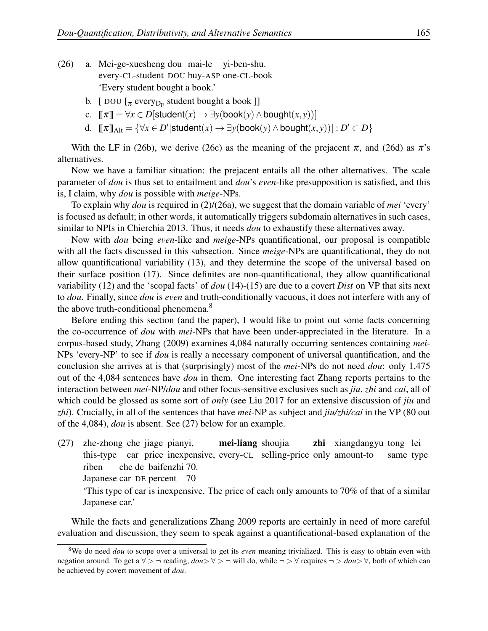- (26) a. Mei-ge-xuesheng dou mai-le yi-ben-shu. every-CL-student DOU buy-ASP one-CL-book 'Every student bought a book.'
	- b. [  $DOU$  [ $\pi$  every $_{D_F}$  student bought a book ]]
	- c.  $\llbracket \pi \rrbracket = \forall x \in D[\text{student}(x) \rightarrow \exists y(\text{book}(y) \land \text{bound}(x, y))]$
	- d.  $[\![\pi]\!]_{\text{Alt}} = {\forall x \in D'[\textsf{student}(x) \rightarrow \exists y(\textsf{book}(y) \land \textsf{bought}(x, y))] : D' \subset D}$

With the LF in (26b), we derive (26c) as the meaning of the prejacent  $\pi$ , and (26d) as  $\pi$ 's alternatives.

Now we have a familiar situation: the prejacent entails all the other alternatives. The scale parameter of *dou* is thus set to entailment and *dou*'s *even*-like presupposition is satisfied, and this is, I claim, why *dou* is possible with *meige*-NPs.

To explain why *dou* is required in (2)/(26a), we suggest that the domain variable of *mei* 'every' is focused as default; in other words, it automatically triggers subdomain alternatives in such cases, similar to NPIs in Chierchia 2013. Thus, it needs *dou* to exhaustify these alternatives away.

Now with *dou* being *even*-like and *meige*-NPs quantificational, our proposal is compatible with all the facts discussed in this subsection. Since *meige*-NPs are quantificational, they do not allow quantificational variability (13), and they determine the scope of the universal based on their surface position (17). Since definites are non-quantificational, they allow quantificational variability (12) and the 'scopal facts' of *dou* (14)-(15) are due to a covert *Dist* on VP that sits next to *dou*. Finally, since *dou* is *even* and truth-conditionally vacuous, it does not interfere with any of the above truth-conditional phenomena.<sup>8</sup>

Before ending this section (and the paper), I would like to point out some facts concerning the co-occurrence of *dou* with *mei*-NPs that have been under-appreciated in the literature. In a corpus-based study, Zhang (2009) examines 4,084 naturally occurring sentences containing *mei*-NPs 'every-NP' to see if *dou* is really a necessary component of universal quantification, and the conclusion she arrives at is that (surprisingly) most of the *mei*-NPs do not need *dou*: only 1,475 out of the 4,084 sentences have *dou* in them. One interesting fact Zhang reports pertains to the interaction between *mei*-NP/*dou* and other focus-sensitive exclusives such as *jiu*, *zhi* and *cai*, all of which could be glossed as some sort of *only* (see Liu 2017 for an extensive discussion of *jiu* and *zhi*). Crucially, in all of the sentences that have *mei*-NP as subject and *jiu/zhi/cai* in the VP (80 out of the 4,084), *dou* is absent. See (27) below for an example.

(27) zhe-zhong che jiage pianyi, this-type car price inexpensive, every-CL selling-price only amount-to mei-liang shoujia zhi xiangdangyu tong lei same type riben che de baifenzhi 70.

Japanese car DE percent 70

'This type of car is inexpensive. The price of each only amounts to 70% of that of a similar Japanese car.'

While the facts and generalizations Zhang 2009 reports are certainly in need of more careful evaluation and discussion, they seem to speak against a quantificational-based explanation of the

<sup>8</sup>We do need *dou* to scope over a universal to get its *even* meaning trivialized. This is easy to obtain even with negation around. To get a ∀ > ¬ reading, *dou*> ∀ > ¬ will do, while ¬ > ∀ requires ¬ > *dou*> ∀, both of which can be achieved by covert movement of *dou*.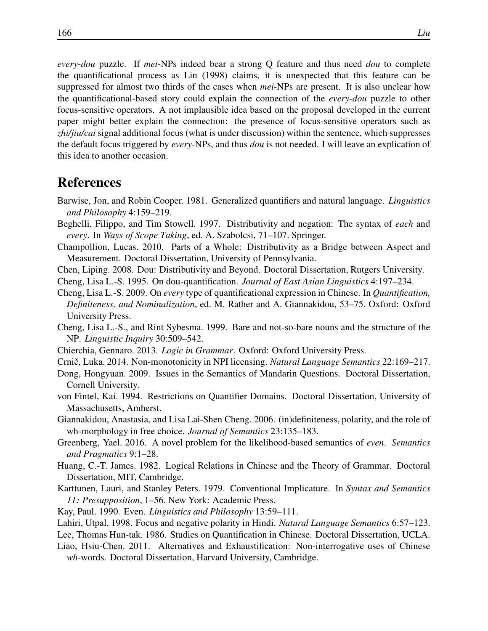*every*-*dou* puzzle. If *mei*-NPs indeed bear a strong Q feature and thus need *dou* to complete the quantificational process as Lin (1998) claims, it is unexpected that this feature can be suppressed for almost two thirds of the cases when *mei*-NPs are present. It is also unclear how the quantificational-based story could explain the connection of the *every*-*dou* puzzle to other focus-sensitive operators. A not implausible idea based on the proposal developed in the current paper might better explain the connection: the presence of focus-sensitive operators such as *zhi/jiu/cai* signal additional focus (what is under discussion) within the sentence, which suppresses the default focus triggered by *every*-NPs, and thus *dou* is not needed. I will leave an explication of this idea to another occasion.

## References

- Barwise, Jon, and Robin Cooper. 1981. Generalized quantifiers and natural language. *Linguistics and Philosophy* 4:159–219.
- Beghelli, Filippo, and Tim Stowell. 1997. Distributivity and negation: The syntax of *each* and *every*. In *Ways of Scope Taking*, ed. A. Szabolcsi, 71–107. Springer.
- Champollion, Lucas. 2010. Parts of a Whole: Distributivity as a Bridge between Aspect and Measurement. Doctoral Dissertation, University of Pennsylvania.
- Chen, Liping. 2008. Dou: Distributivity and Beyond. Doctoral Dissertation, Rutgers University.
- Cheng, Lisa L.-S. 1995. On dou-quantification. *Journal of East Asian Linguistics* 4:197–234.
- Cheng, Lisa L.-S. 2009. On *every* type of quantificational expression in Chinese. In *Quantification, Definiteness, and Nominalization*, ed. M. Rather and A. Giannakidou, 53–75. Oxford: Oxford University Press.
- Cheng, Lisa L.-S., and Rint Sybesma. 1999. Bare and not-so-bare nouns and the structure of the NP. *Linguistic Inquiry* 30:509–542.
- Chierchia, Gennaro. 2013. *Logic in Grammar*. Oxford: Oxford University Press.
- Crnic, Luka. 2014. Non-monotonicity in NPI licensing. ˇ *Natural Language Semantics* 22:169–217.
- Dong, Hongyuan. 2009. Issues in the Semantics of Mandarin Questions. Doctoral Dissertation, Cornell University.
- von Fintel, Kai. 1994. Restrictions on Quantifier Domains. Doctoral Dissertation, University of Massachusetts, Amherst.
- Giannakidou, Anastasia, and Lisa Lai-Shen Cheng. 2006. (in)definiteness, polarity, and the role of wh-morphology in free choice. *Journal of Semantics* 23:135–183.
- Greenberg, Yael. 2016. A novel problem for the likelihood-based semantics of *even*. *Semantics and Pragmatics* 9:1–28.
- Huang, C.-T. James. 1982. Logical Relations in Chinese and the Theory of Grammar. Doctoral Dissertation, MIT, Cambridge.
- Karttunen, Lauri, and Stanley Peters. 1979. Conventional Implicature. In *Syntax and Semantics 11: Presupposition*, 1–56. New York: Academic Press.
- Kay, Paul. 1990. Even. *Linguistics and Philosophy* 13:59–111.
- Lahiri, Utpal. 1998. Focus and negative polarity in Hindi. *Natural Language Semantics* 6:57–123.

Lee, Thomas Hun-tak. 1986. Studies on Quantification in Chinese. Doctoral Dissertation, UCLA.

Liao, Hsiu-Chen. 2011. Alternatives and Exhaustification: Non-interrogative uses of Chinese *wh*-words. Doctoral Dissertation, Harvard University, Cambridge.